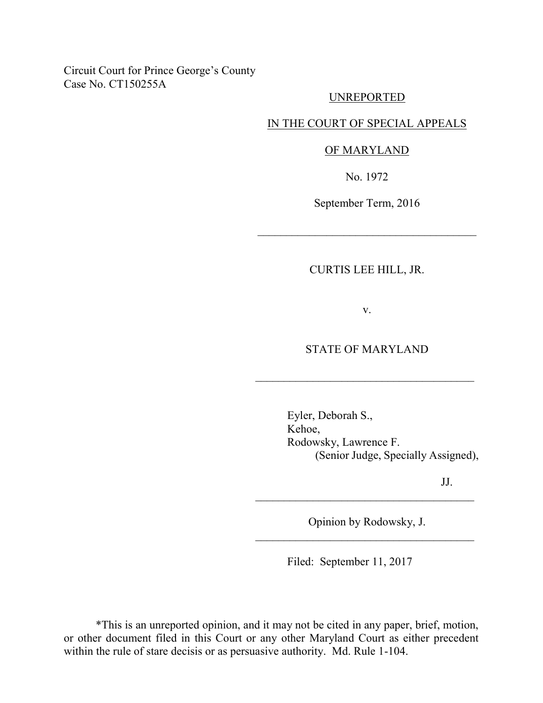Circuit Court for Prince George's County Case No. CT150255A

#### UNREPORTED

### IN THE COURT OF SPECIAL APPEALS

#### OF MARYLAND

No. 1972

September Term, 2016

\_\_\_\_\_\_\_\_\_\_\_\_\_\_\_\_\_\_\_\_\_\_\_\_\_\_\_\_\_\_\_\_\_\_\_\_\_\_

# CURTIS LEE HILL, JR.

v.

## STATE OF MARYLAND

\_\_\_\_\_\_\_\_\_\_\_\_\_\_\_\_\_\_\_\_\_\_\_\_\_\_\_\_\_\_\_\_\_\_\_\_\_\_

Eyler, Deborah S., Kehoe, Rodowsky, Lawrence F. (Senior Judge, Specially Assigned),

JJ.

Opinion by Rodowsky, J.  $\mathcal{L}_\text{max}$  , where  $\mathcal{L}_\text{max}$  , we are the set of  $\mathcal{L}_\text{max}$ 

\_\_\_\_\_\_\_\_\_\_\_\_\_\_\_\_\_\_\_\_\_\_\_\_\_\_\_\_\_\_\_\_\_\_\_\_\_\_

Filed: September 11, 2017

\*This is an unreported opinion, and it may not be cited in any paper, brief, motion, or other document filed in this Court or any other Maryland Court as either precedent within the rule of stare decisis or as persuasive authority. Md. Rule 1-104.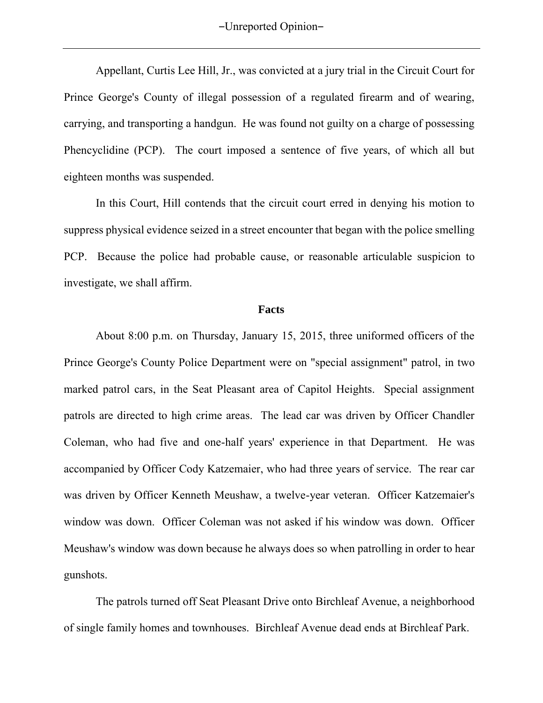Appellant, Curtis Lee Hill, Jr., was convicted at a jury trial in the Circuit Court for Prince George's County of illegal possession of a regulated firearm and of wearing, carrying, and transporting a handgun. He was found not guilty on a charge of possessing Phencyclidine (PCP). The court imposed a sentence of five years, of which all but eighteen months was suspended.

In this Court, Hill contends that the circuit court erred in denying his motion to suppress physical evidence seized in a street encounter that began with the police smelling PCP. Because the police had probable cause, or reasonable articulable suspicion to investigate, we shall affirm.

#### **Facts**

About 8:00 p.m. on Thursday, January 15, 2015, three uniformed officers of the Prince George's County Police Department were on "special assignment" patrol, in two marked patrol cars, in the Seat Pleasant area of Capitol Heights. Special assignment patrols are directed to high crime areas. The lead car was driven by Officer Chandler Coleman, who had five and one-half years' experience in that Department. He was accompanied by Officer Cody Katzemaier, who had three years of service. The rear car was driven by Officer Kenneth Meushaw, a twelve-year veteran. Officer Katzemaier's window was down. Officer Coleman was not asked if his window was down. Officer Meushaw's window was down because he always does so when patrolling in order to hear gunshots.

The patrols turned off Seat Pleasant Drive onto Birchleaf Avenue, a neighborhood of single family homes and townhouses. Birchleaf Avenue dead ends at Birchleaf Park.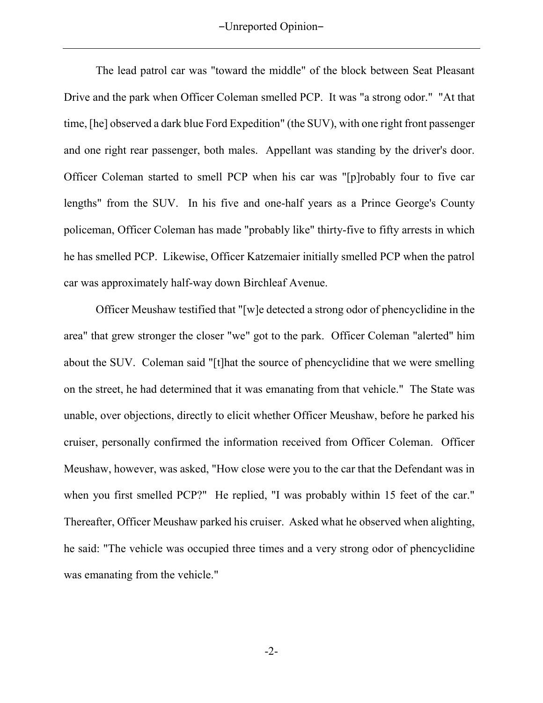The lead patrol car was "toward the middle" of the block between Seat Pleasant Drive and the park when Officer Coleman smelled PCP.It was "a strong odor." "At that time, [he] observed a dark blue Ford Expedition" (the SUV), with one right front passenger and one right rear passenger, both males. Appellant was standing by the driver's door. Officer Coleman started to smell PCP when his car was "[p]robably four to five car lengths" from the SUV. In his five and one-half years as a Prince George's County policeman, Officer Coleman has made "probably like" thirty-five to fifty arrests in which he has smelled PCP. Likewise, Officer Katzemaier initially smelled PCP when the patrol car was approximately half-way down Birchleaf Avenue.

Officer Meushaw testified that "[w]e detected a strong odor of phencyclidine in the area" that grew stronger the closer "we" got to the park. Officer Coleman "alerted" him about the SUV. Coleman said "[t]hat the source of phencyclidine that we were smelling on the street, he had determined that it was emanating from that vehicle." The State was unable, over objections, directly to elicit whether Officer Meushaw, before he parked his cruiser, personally confirmed the information received from Officer Coleman. Officer Meushaw, however, was asked, "How close were you to the car that the Defendant was in when you first smelled PCP?" He replied, "I was probably within 15 feet of the car." Thereafter, Officer Meushaw parked his cruiser. Asked what he observed when alighting, he said: "The vehicle was occupied three times and a very strong odor of phencyclidine was emanating from the vehicle."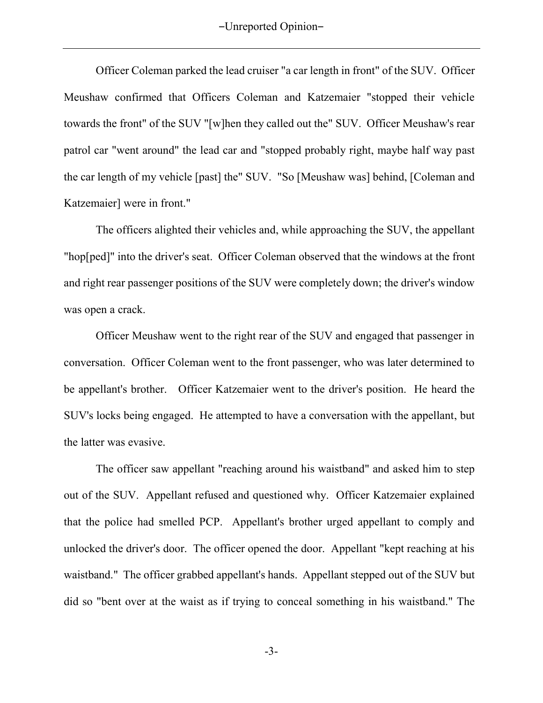Officer Coleman parked the lead cruiser "a car length in front" of the SUV. Officer Meushaw confirmed that Officers Coleman and Katzemaier "stopped their vehicle towards the front" of the SUV "[w]hen they called out the" SUV. Officer Meushaw's rear patrol car "went around" the lead car and "stopped probably right, maybe half way past the car length of my vehicle [past] the" SUV. "So [Meushaw was] behind, [Coleman and Katzemaier] were in front."

The officers alighted their vehicles and, while approaching the SUV, the appellant "hop[ped]" into the driver's seat. Officer Coleman observed that the windows at the front and right rear passenger positions of the SUV were completely down; the driver's window was open a crack.

Officer Meushaw went to the right rear of the SUV and engaged that passenger in conversation. Officer Coleman went to the front passenger, who was later determined to be appellant's brother. Officer Katzemaier went to the driver's position. He heard the SUV's locks being engaged. He attempted to have a conversation with the appellant, but the latter was evasive.

The officer saw appellant "reaching around his waistband" and asked him to step out of the SUV. Appellant refused and questioned why. Officer Katzemaier explained that the police had smelled PCP. Appellant's brother urged appellant to comply and unlocked the driver's door. The officer opened the door. Appellant "kept reaching at his waistband." The officer grabbed appellant's hands. Appellant stepped out of the SUV but did so "bent over at the waist as if trying to conceal something in his waistband." The

-3-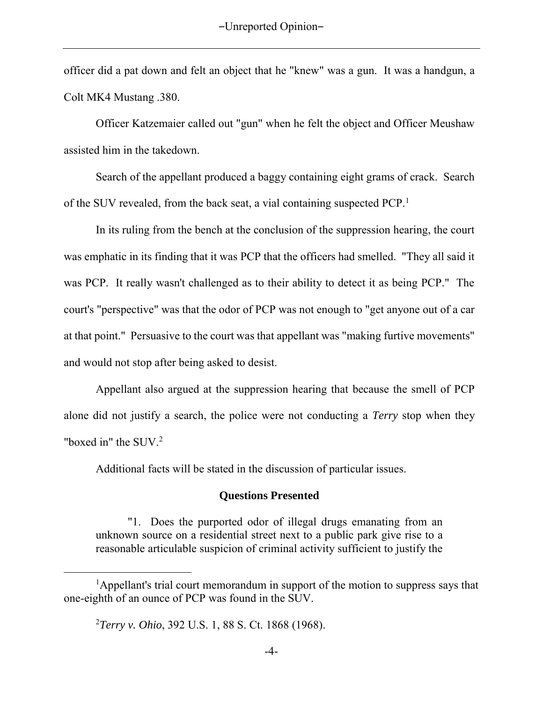officer did a pat down and felt an object that he "knew" was a gun. It was a handgun, a Colt MK4 Mustang .380.

Officer Katzemaier called out "gun" when he felt the object and Officer Meushaw assisted him in the takedown.

Search of the appellant produced a baggy containing eight grams of crack. Search of the SUV revealed, from the back seat, a vial containing suspected PCP.<sup>1</sup>

In its ruling from the bench at the conclusion of the suppression hearing, the court was emphatic in its finding that it was PCP that the officers had smelled. "They all said it was PCP. It really wasn't challenged as to their ability to detect it as being PCP." The court's "perspective" was that the odor of PCP was not enough to "get anyone out of a car at that point." Persuasive to the court was that appellant was "making furtive movements" and would not stop after being asked to desist.

Appellant also argued at the suppression hearing that because the smell of PCP alone did not justify a search, the police were not conducting a *Terry* stop when they "boxed in" the SUV.<sup>2</sup>

Additional facts will be stated in the discussion of particular issues.

## **Questions Presented**

"1. Does the purported odor of illegal drugs emanating from an unknown source on a residential street next to a public park give rise to a reasonable articulable suspicion of criminal activity sufficient to justify the

 $\overline{a}$ 

<sup>&</sup>lt;sup>1</sup>Appellant's trial court memorandum in support of the motion to suppress says that one-eighth of an ounce of PCP was found in the SUV.

<sup>2</sup>*Terry v. Ohio*, 392 U.S. 1, 88 S. Ct. 1868 (1968).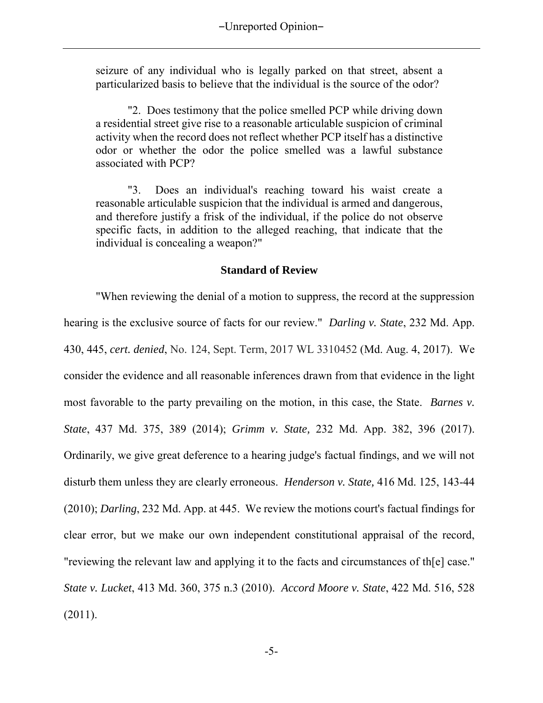seizure of any individual who is legally parked on that street, absent a particularized basis to believe that the individual is the source of the odor?

"2. Does testimony that the police smelled PCP while driving down a residential street give rise to a reasonable articulable suspicion of criminal activity when the record does not reflect whether PCP itself has a distinctive odor or whether the odor the police smelled was a lawful substance associated with PCP?

"3. Does an individual's reaching toward his waist create a reasonable articulable suspicion that the individual is armed and dangerous, and therefore justify a frisk of the individual, if the police do not observe specific facts, in addition to the alleged reaching, that indicate that the individual is concealing a weapon?"

## **Standard of Review**

"When reviewing the denial of a motion to suppress, the record at the suppression hearing is the exclusive source of facts for our review." *Darling v. State*, 232 Md. App. 430, 445, *cert. denied*, No. 124, Sept. Term, 2017 WL 3310452 (Md. Aug. 4, 2017). We consider the evidence and all reasonable inferences drawn from that evidence in the light most favorable to the party prevailing on the motion, in this case, the State. *Barnes v. State*, 437 Md. 375, 389 (2014); *Grimm v. State,* 232 Md. App. 382, 396 (2017). Ordinarily, we give great deference to a hearing judge's factual findings, and we will not disturb them unless they are clearly erroneous. *Henderson v. State,* 416 Md. 125, 143-44 (2010); *Darling*, 232 Md. App. at 445. We review the motions court's factual findings for clear error, but we make our own independent constitutional appraisal of the record, "reviewing the relevant law and applying it to the facts and circumstances of th[e] case." *State v. Lucket*, 413 Md. 360, 375 n.3 (2010). *Accord Moore v. State*, 422 Md. 516, 528 (2011).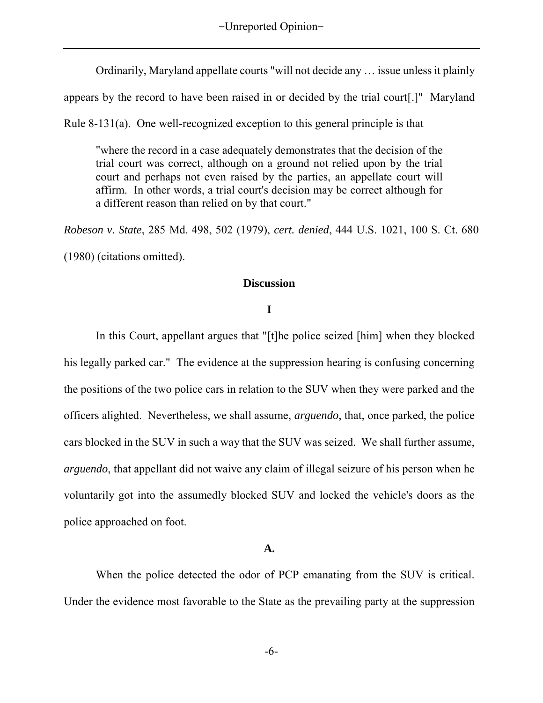Ordinarily, Maryland appellate courts "will not decide any … issue unless it plainly

appears by the record to have been raised in or decided by the trial court[.]" Maryland

Rule 8-131(a). One well-recognized exception to this general principle is that

"where the record in a case adequately demonstrates that the decision of the trial court was correct, although on a ground not relied upon by the trial court and perhaps not even raised by the parties, an appellate court will affirm. In other words, a trial court's decision may be correct although for a different reason than relied on by that court."

*Robeson v. State*, 285 Md. 498, 502 (1979), *cert. denied*, 444 U.S. 1021, 100 S. Ct. 680 (1980) (citations omitted).

**Discussion**

### **I**

In this Court, appellant argues that "[t]he police seized [him] when they blocked his legally parked car." The evidence at the suppression hearing is confusing concerning the positions of the two police cars in relation to the SUV when they were parked and the officers alighted. Nevertheless, we shall assume, *arguendo*, that, once parked, the police cars blocked in the SUV in such a way that the SUV was seized. We shall further assume, *arguendo*, that appellant did not waive any claim of illegal seizure of his person when he voluntarily got into the assumedly blocked SUV and locked the vehicle's doors as the police approached on foot.

### **A.**

When the police detected the odor of PCP emanating from the SUV is critical. Under the evidence most favorable to the State as the prevailing party at the suppression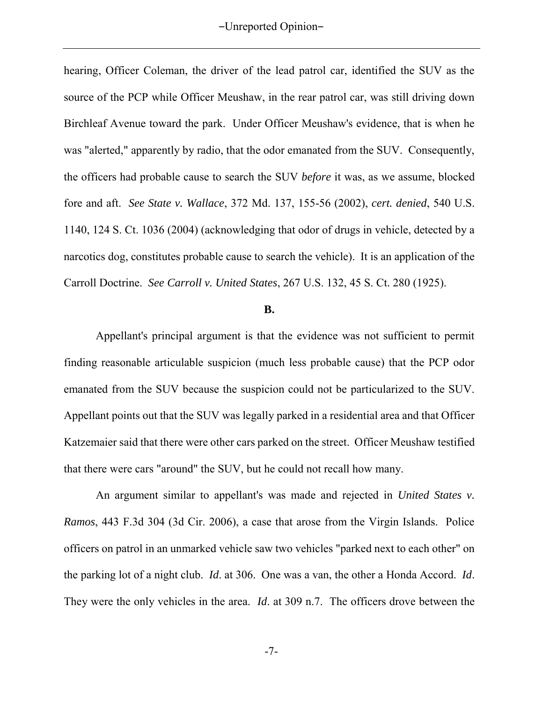hearing, Officer Coleman, the driver of the lead patrol car, identified the SUV as the source of the PCP while Officer Meushaw, in the rear patrol car, was still driving down Birchleaf Avenue toward the park. Under Officer Meushaw's evidence, that is when he was "alerted," apparently by radio, that the odor emanated from the SUV. Consequently, the officers had probable cause to search the SUV *before* it was, as we assume, blocked fore and aft. *See State v. Wallace*, 372 Md. 137, 155-56 (2002), *cert. denied*, 540 U.S. 1140, 124 S. Ct. 1036 (2004) (acknowledging that odor of drugs in vehicle, detected by a narcotics dog, constitutes probable cause to search the vehicle). It is an application of the Carroll Doctrine. *See Carroll v. United States*, 267 U.S. 132, 45 S. Ct. 280 (1925).

### **B.**

Appellant's principal argument is that the evidence was not sufficient to permit finding reasonable articulable suspicion (much less probable cause) that the PCP odor emanated from the SUV because the suspicion could not be particularized to the SUV. Appellant points out that the SUV was legally parked in a residential area and that Officer Katzemaier said that there were other cars parked on the street. Officer Meushaw testified that there were cars "around" the SUV, but he could not recall how many.

An argument similar to appellant's was made and rejected in *United States v. Ramos*, 443 F.3d 304 (3d Cir. 2006), a case that arose from the Virgin Islands. Police officers on patrol in an unmarked vehicle saw two vehicles "parked next to each other" on the parking lot of a night club. *Id*. at 306. One was a van, the other a Honda Accord. *Id*. They were the only vehicles in the area. *Id*. at 309 n.7. The officers drove between the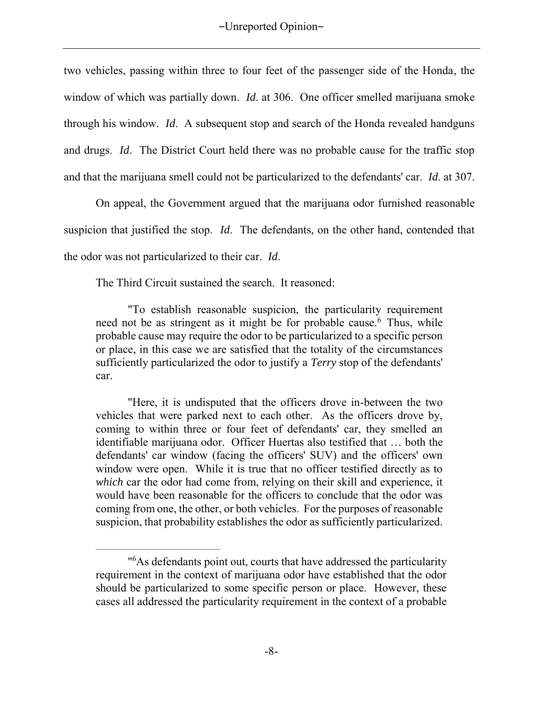two vehicles, passing within three to four feet of the passenger side of the Honda, the window of which was partially down. *Id*. at 306. One officer smelled marijuana smoke through his window. *Id*.A subsequent stop and search of the Honda revealed handguns and drugs. *Id*. The District Court held there was no probable cause for the traffic stop and that the marijuana smell could not be particularized to the defendants' car. *Id*. at 307.

On appeal, the Government argued that the marijuana odor furnished reasonable suspicion that justified the stop. *Id*. The defendants, on the other hand, contended that the odor was not particularized to their car. *Id*.

The Third Circuit sustained the search. It reasoned:

 $\mathcal{L}_\text{max} = \frac{1}{2} \sum_{i=1}^n \frac{1}{2} \sum_{i=1}^n \frac{1}{2} \sum_{i=1}^n \frac{1}{2} \sum_{i=1}^n \frac{1}{2} \sum_{i=1}^n \frac{1}{2} \sum_{i=1}^n \frac{1}{2} \sum_{i=1}^n \frac{1}{2} \sum_{i=1}^n \frac{1}{2} \sum_{i=1}^n \frac{1}{2} \sum_{i=1}^n \frac{1}{2} \sum_{i=1}^n \frac{1}{2} \sum_{i=1}^n \frac{1}{2} \sum_{i=1}^n$ 

"To establish reasonable suspicion, the particularity requirement need not be as stringent as it might be for probable cause.<sup>6</sup> Thus, while probable cause may require the odor to be particularized to a specific person or place, in this case we are satisfied that the totality of the circumstances sufficiently particularized the odor to justify a *Terry* stop of the defendants' car.

"Here, it is undisputed that the officers drove in-between the two vehicles that were parked next to each other. As the officers drove by, coming to within three or four feet of defendants' car, they smelled an identifiable marijuana odor. Officer Huertas also testified that … both the defendants' car window (facing the officers' SUV) and the officers' own window were open. While it is true that no officer testified directly as to *which* car the odor had come from, relying on their skill and experience, it would have been reasonable for the officers to conclude that the odor was coming from one, the other, or both vehicles. For the purposes of reasonable suspicion, that probability establishes the odor as sufficiently particularized.

<sup>&</sup>quot; <sup>6</sup>As defendants point out, courts that have addressed the particularity requirement in the context of marijuana odor have established that the odor should be particularized to some specific person or place. However, these cases all addressed the particularity requirement in the context of a probable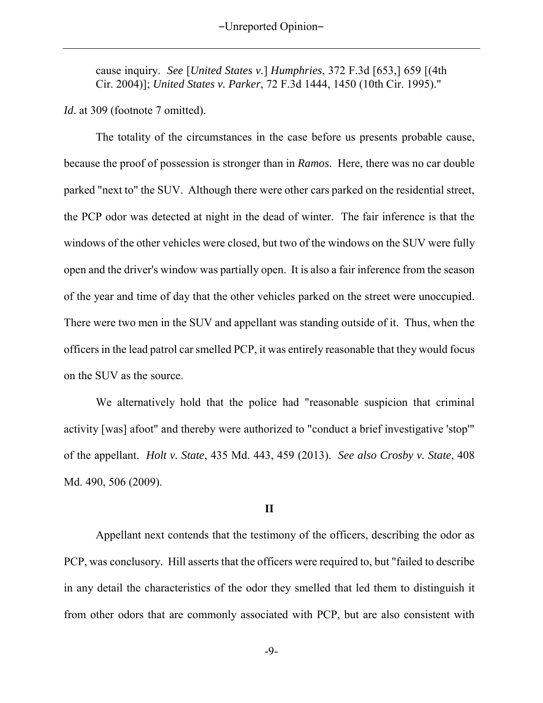cause inquiry. *See* [*United States v.*] *Humphries*, 372 F.3d [653,] 659 [(4th Cir. 2004)]; *United States v. Parker*, 72 F.3d 1444, 1450 (10th Cir. 1995)."

*Id.* at 309 (footnote 7 omitted).

The totality of the circumstances in the case before us presents probable cause, because the proof of possession is stronger than in *Ramos*. Here, there was no car double parked "next to" the SUV. Although there were other cars parked on the residential street, the PCP odor was detected at night in the dead of winter. The fair inference is that the windows of the other vehicles were closed, but two of the windows on the SUV were fully open and the driver's window was partially open. It is also a fair inference from the season of the year and time of day that the other vehicles parked on the street were unoccupied. There were two men in the SUV and appellant was standing outside of it. Thus, when the officers in the lead patrol car smelled PCP, it was entirely reasonable that they would focus on the SUV as the source.

We alternatively hold that the police had "reasonable suspicion that criminal activity [was] afoot" and thereby were authorized to "conduct a brief investigative 'stop'" of the appellant. *Holt v. State*, 435 Md. 443, 459 (2013). *See also Crosby v. State*, 408 Md. 490, 506 (2009).

### **II**

Appellant next contends that the testimony of the officers, describing the odor as PCP, was conclusory. Hill asserts that the officers were required to, but "failed to describe in any detail the characteristics of the odor they smelled that led them to distinguish it from other odors that are commonly associated with PCP, but are also consistent with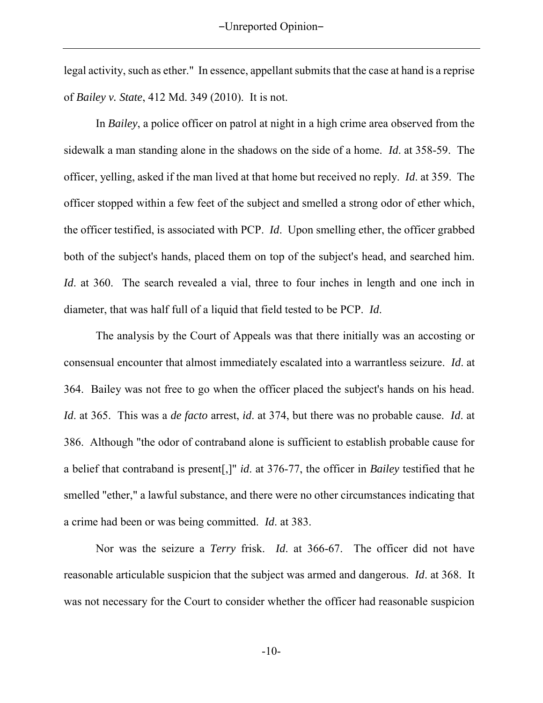legal activity, such as ether." In essence, appellant submits that the case at hand is a reprise of *Bailey v. State*, 412 Md. 349 (2010). It is not.

In *Bailey*, a police officer on patrol at night in a high crime area observed from the sidewalk a man standing alone in the shadows on the side of a home. *Id*. at 358-59. The officer, yelling, asked if the man lived at that home but received no reply. *Id*. at 359. The officer stopped within a few feet of the subject and smelled a strong odor of ether which, the officer testified, is associated with PCP. *Id*. Upon smelling ether, the officer grabbed both of the subject's hands, placed them on top of the subject's head, and searched him. *Id*. at 360. The search revealed a vial, three to four inches in length and one inch in diameter, that was half full of a liquid that field tested to be PCP. *Id*.

The analysis by the Court of Appeals was that there initially was an accosting or consensual encounter that almost immediately escalated into a warrantless seizure. *Id*. at 364. Bailey was not free to go when the officer placed the subject's hands on his head. *Id*. at 365. This was a *de facto* arrest, *id*. at 374, but there was no probable cause. *Id*. at 386. Although "the odor of contraband alone is sufficient to establish probable cause for a belief that contraband is present[,]" *id*. at 376-77, the officer in *Bailey* testified that he smelled "ether," a lawful substance, and there were no other circumstances indicating that a crime had been or was being committed. *Id*. at 383.

Nor was the seizure a *Terry* frisk. *Id*. at 366-67. The officer did not have reasonable articulable suspicion that the subject was armed and dangerous. *Id*. at 368. It was not necessary for the Court to consider whether the officer had reasonable suspicion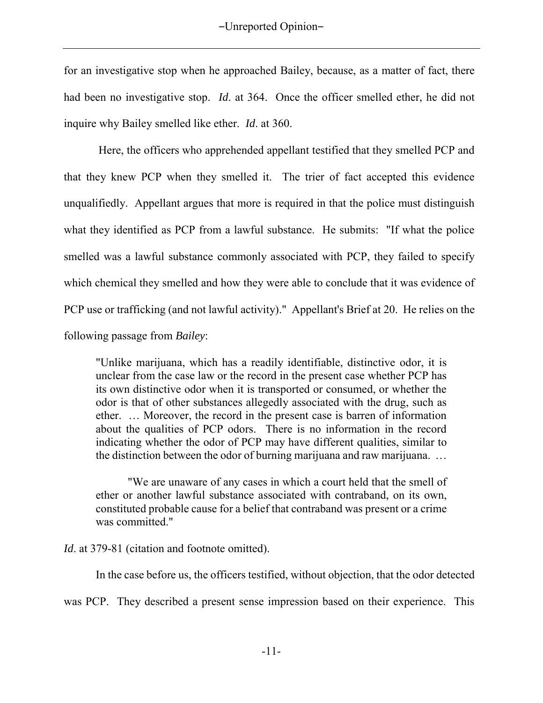for an investigative stop when he approached Bailey, because, as a matter of fact, there had been no investigative stop. *Id*. at 364. Once the officer smelled ether, he did not inquire why Bailey smelled like ether. *Id*. at 360.

Here, the officers who apprehended appellant testified that they smelled PCP and that they knew PCP when they smelled it. The trier of fact accepted this evidence unqualifiedly. Appellant argues that more is required in that the police must distinguish what they identified as PCP from a lawful substance. He submits: "If what the police smelled was a lawful substance commonly associated with PCP, they failed to specify which chemical they smelled and how they were able to conclude that it was evidence of PCP use or trafficking (and not lawful activity)." Appellant's Brief at 20. He relies on the following passage from *Bailey*:

"Unlike marijuana, which has a readily identifiable, distinctive odor, it is unclear from the case law or the record in the present case whether PCP has its own distinctive odor when it is transported or consumed, or whether the odor is that of other substances allegedly associated with the drug, such as ether. … Moreover, the record in the present case is barren of information about the qualities of PCP odors. There is no information in the record indicating whether the odor of PCP may have different qualities, similar to the distinction between the odor of burning marijuana and raw marijuana. …

"We are unaware of any cases in which a court held that the smell of ether or another lawful substance associated with contraband, on its own, constituted probable cause for a belief that contraband was present or a crime was committed."

*Id.* at 379-81 (citation and footnote omitted).

In the case before us, the officers testified, without objection, that the odor detected

was PCP. They described a present sense impression based on their experience. This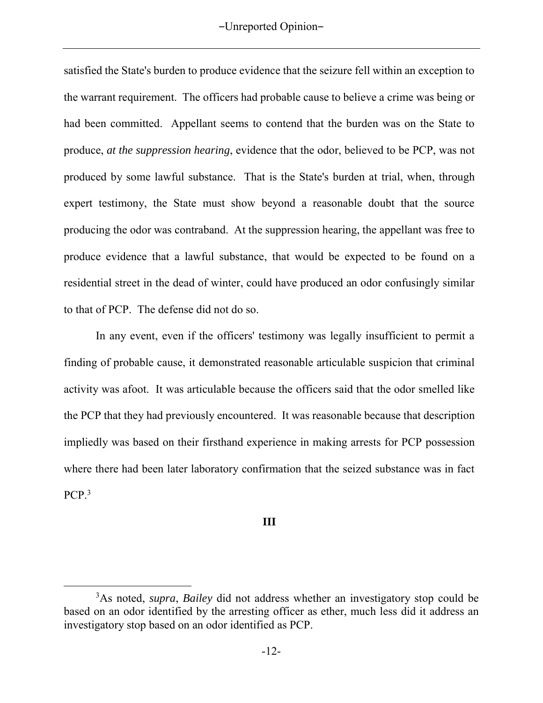satisfied the State's burden to produce evidence that the seizure fell within an exception to the warrant requirement. The officers had probable cause to believe a crime was being or had been committed. Appellant seems to contend that the burden was on the State to produce, *at the suppression hearing*, evidence that the odor, believed to be PCP, was not produced by some lawful substance. That is the State's burden at trial, when, through expert testimony, the State must show beyond a reasonable doubt that the source producing the odor was contraband. At the suppression hearing, the appellant was free to produce evidence that a lawful substance, that would be expected to be found on a residential street in the dead of winter, could have produced an odor confusingly similar to that of PCP. The defense did not do so.

In any event, even if the officers' testimony was legally insufficient to permit a finding of probable cause, it demonstrated reasonable articulable suspicion that criminal activity was afoot. It was articulable because the officers said that the odor smelled like the PCP that they had previously encountered. It was reasonable because that description impliedly was based on their firsthand experience in making arrests for PCP possession where there had been later laboratory confirmation that the seized substance was in fact PCP.<sup>3</sup>

## **III**

 $\overline{a}$ 

<sup>3</sup>As noted, *supra*, *Bailey* did not address whether an investigatory stop could be based on an odor identified by the arresting officer as ether, much less did it address an investigatory stop based on an odor identified as PCP.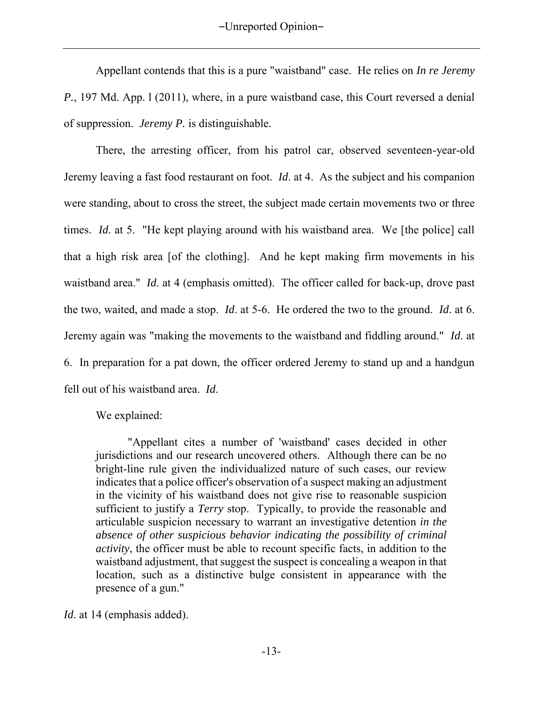Appellant contends that this is a pure "waistband" case. He relies on *In re Jeremy P.*, 197 Md. App. l (2011), where, in a pure waistband case, this Court reversed a denial of suppression. *Jeremy P.* is distinguishable.

There, the arresting officer, from his patrol car, observed seventeen-year-old Jeremy leaving a fast food restaurant on foot. *Id*. at 4. As the subject and his companion were standing, about to cross the street, the subject made certain movements two or three times. *Id*. at 5. "He kept playing around with his waistband area. We [the police] call that a high risk area [of the clothing]. And he kept making firm movements in his waistband area." *Id*. at 4 (emphasis omitted). The officer called for back-up, drove past the two, waited, and made a stop. *Id*. at 5-6. He ordered the two to the ground. *Id*. at 6. Jeremy again was "making the movements to the waistband and fiddling around." *Id*. at 6. In preparation for a pat down, the officer ordered Jeremy to stand up and a handgun fell out of his waistband area. *Id*.

We explained:

"Appellant cites a number of 'waistband' cases decided in other jurisdictions and our research uncovered others. Although there can be no bright-line rule given the individualized nature of such cases, our review indicates that a police officer's observation of a suspect making an adjustment in the vicinity of his waistband does not give rise to reasonable suspicion sufficient to justify a *Terry* stop. Typically, to provide the reasonable and articulable suspicion necessary to warrant an investigative detention *in the absence of other suspicious behavior indicating the possibility of criminal activity*, the officer must be able to recount specific facts, in addition to the waistband adjustment, that suggest the suspect is concealing a weapon in that location, such as a distinctive bulge consistent in appearance with the presence of a gun."

*Id*. at 14 (emphasis added).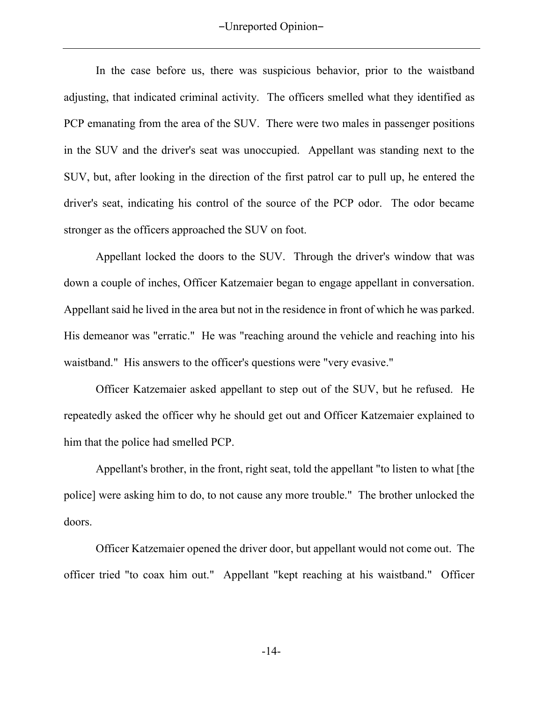In the case before us, there was suspicious behavior, prior to the waistband adjusting, that indicated criminal activity. The officers smelled what they identified as PCP emanating from the area of the SUV. There were two males in passenger positions in the SUV and the driver's seat was unoccupied. Appellant was standing next to the SUV, but, after looking in the direction of the first patrol car to pull up, he entered the driver's seat, indicating his control of the source of the PCP odor. The odor became stronger as the officers approached the SUV on foot.

Appellant locked the doors to the SUV. Through the driver's window that was down a couple of inches, Officer Katzemaier began to engage appellant in conversation. Appellant said he lived in the area but not in the residence in front of which he was parked. His demeanor was "erratic." He was "reaching around the vehicle and reaching into his waistband." His answers to the officer's questions were "very evasive."

Officer Katzemaier asked appellant to step out of the SUV, but he refused. He repeatedly asked the officer why he should get out and Officer Katzemaier explained to him that the police had smelled PCP.

Appellant's brother, in the front, right seat, told the appellant "to listen to what [the police] were asking him to do, to not cause any more trouble." The brother unlocked the doors.

Officer Katzemaier opened the driver door, but appellant would not come out. The officer tried "to coax him out." Appellant "kept reaching at his waistband." Officer